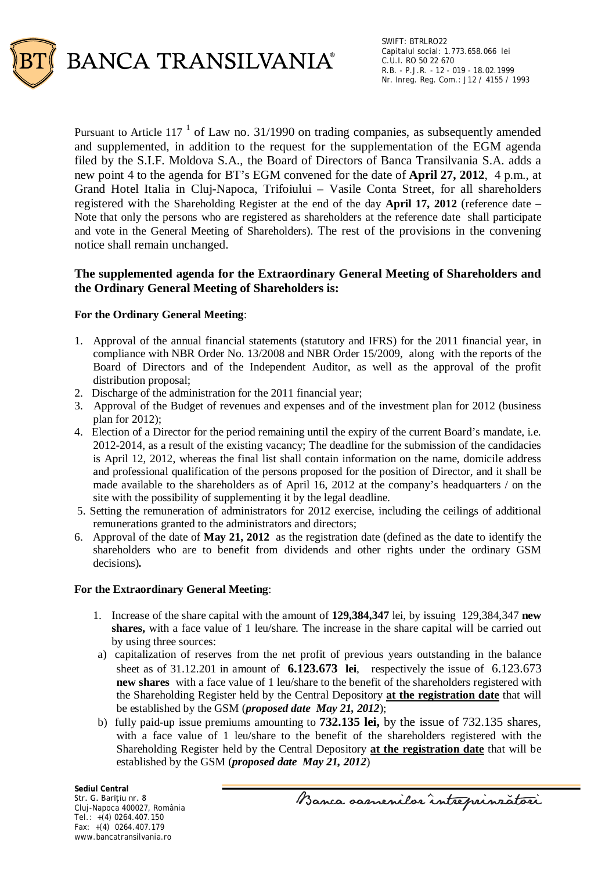

Pursuant to Article 117<sup> $1$ </sup> of Law no. 31/1990 on trading companies, as subsequently amended and supplemented, in addition to the request for the supplementation of the EGM agenda filed by the S.I.F. Moldova S.A., the Board of Directors of Banca Transilvania S.A. adds a new point 4 to the agenda for BT's EGM convened for the date of **April 27, 2012**, 4 p.m., at Grand Hotel Italia in Cluj-Napoca, Trifoiului – Vasile Conta Street, for all shareholders registered with the Shareholding Register at the end of the day **April 17, 2012** (reference date – Note that only the persons who are registered as shareholders at the reference date shall participate and vote in the General Meeting of Shareholders). The rest of the provisions in the convening notice shall remain unchanged.

# **The supplemented agenda for the Extraordinary General Meeting of Shareholders and the Ordinary General Meeting of Shareholders is:**

## **For the Ordinary General Meeting**:

- 1. Approval of the annual financial statements (statutory and IFRS) for the 2011 financial year, in compliance with NBR Order No. 13/2008 and NBR Order 15/2009, along with the reports of the Board of Directors and of the Independent Auditor, as well as the approval of the profit distribution proposal;
- 2. Discharge of the administration for the 2011 financial year;
- 3. Approval of the Budget of revenues and expenses and of the investment plan for 2012 (business plan for 2012);
- 4. Election of a Director for the period remaining until the expiry of the current Board's mandate, i.e. 2012-2014, as a result of the existing vacancy; The deadline for the submission of the candidacies is April 12, 2012, whereas the final list shall contain information on the name, domicile address and professional qualification of the persons proposed for the position of Director, and it shall be made available to the shareholders as of April 16, 2012 at the company's headquarters / on the site with the possibility of supplementing it by the legal deadline.
- 5. Setting the remuneration of administrators for 2012 exercise, including the ceilings of additional remunerations granted to the administrators and directors;
- 6. Approval of the date of **May 21, 2012** as the registration date (defined as the date to identify the shareholders who are to benefit from dividends and other rights under the ordinary GSM decisions)*.*

#### **For the Extraordinary General Meeting**:

- 1. Increase of the share capital with the amount of **129,384,347** lei, by issuing 129,384,347 **new shares,** with a face value of 1 leu/share. The increase in the share capital will be carried out by using three sources:
- a) capitalization of reserves from the net profit of previous years outstanding in the balance sheet as of 31.12.201 in amount of **6.123.673 lei**, respectively the issue of 6.123.673 **new shares** with a face value of 1 leu/share to the benefit of the shareholders registered with the Shareholding Register held by the Central Depository **at the registration date** that will be established by the GSM (*proposed date May 21, 2012*);
- b) fully paid-up issue premiums amounting to **732.135 lei,** by the issue of 732.135 shares, with a face value of 1 leu/share to the benefit of the shareholders registered with the Shareholding Register held by the Central Depository **at the registration date** that will be established by the GSM (*proposed date May 21, 2012*)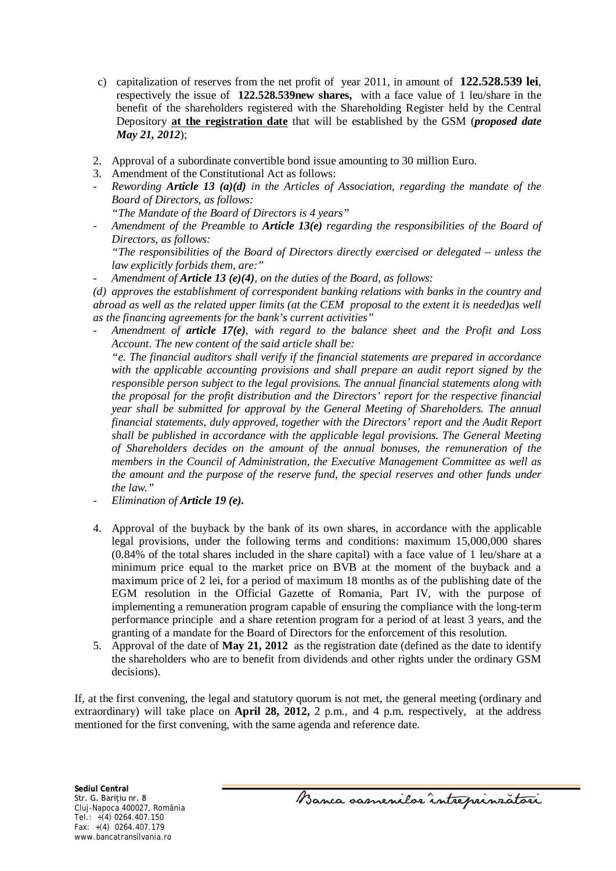- c) capitalization of reserves from the net profit of year 2011, in amount of **122.528.539 lei**, respectively the issue of **122.528.539new shares,** with a face value of 1 leu/share in the benefit of the shareholders registered with the Shareholding Register held by the Central Depository **at the registration date** that will be established by the GSM (*proposed date May 21, 2012*);
- 2. Approval of a subordinate convertible bond issue amounting to 30 million Euro.
- 3. Amendment of the Constitutional Act as follows:
- *Rewording Article 13 (a)(d) in the Articles of Association, regarding the mandate of the Board of Directors, as follows:* 
	- *"The Mandate of the Board of Directors is 4 years"*
- *Amendment of the Preamble to Article 13(e) regarding the responsibilities of the Board of Directors, as follows:*

*"The responsibilities of the Board of Directors directly exercised or delegated – unless the law explicitly forbids them, are:"* 

- *Amendment of Article 13 (e)(4), on the duties of the Board, as follows:* 

*(d) approves the establishment of correspondent banking relations with banks in the country and abroad as well as the related upper limits (at the CEM proposal to the extent it is needed)as well as the financing agreements for the bank's current activities"* 

- *Amendment of article 17(e), with regard to the balance sheet and the Profit and Loss Account. The new content of the said article shall be:* 

*"e. The financial auditors shall verify if the financial statements are prepared in accordance with the applicable accounting provisions and shall prepare an audit report signed by the responsible person subject to the legal provisions. The annual financial statements along with the proposal for the profit distribution and the Directors' report for the respective financial year shall be submitted for approval by the General Meeting of Shareholders. The annual financial statements, duly approved, together with the Directors' report and the Audit Report shall be published in accordance with the applicable legal provisions. The General Meeting of Shareholders decides on the amount of the annual bonuses, the remuneration of the members in the Council of Administration, the Executive Management Committee as well as the amount and the purpose of the reserve fund, the special reserves and other funds under the law."* 

- *Elimination of Article 19 (e).*
- 4. Approval of the buyback by the bank of its own shares, in accordance with the applicable legal provisions, under the following terms and conditions: maximum 15,000,000 shares (0.84% of the total shares included in the share capital) with a face value of 1 leu/share at a minimum price equal to the market price on BVB at the moment of the buyback and a maximum price of 2 lei, for a period of maximum 18 months as of the publishing date of the EGM resolution in the Official Gazette of Romania, Part IV, with the purpose of implementing a remuneration program capable of ensuring the compliance with the long-term performance principle and a share retention program for a period of at least 3 years, and the granting of a mandate for the Board of Directors for the enforcement of this resolution.
- 5. Approval of the date of **May 21, 2012** as the registration date (defined as the date to identify the shareholders who are to benefit from dividends and other rights under the ordinary GSM decisions).

If, at the first convening, the legal and statutory quorum is not met, the general meeting (ordinary and extraordinary) will take place on **April 28, 2012,** 2 p.m., and 4 p.m. respectively, at the address mentioned for the first convening, with the same agenda and reference date.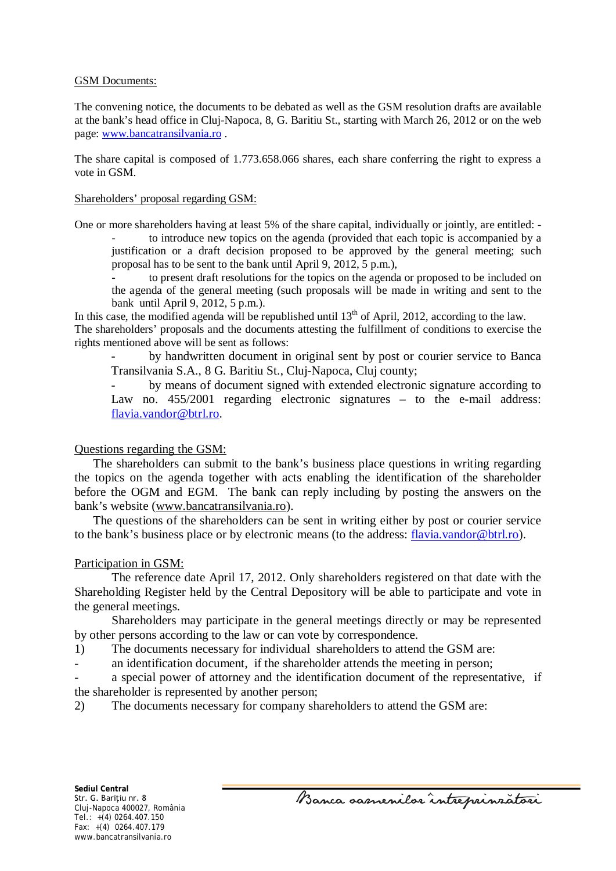### GSM Documents:

The convening notice, the documents to be debated as well as the GSM resolution drafts are available at the bank's head office in Cluj-Napoca, 8, G. Baritiu St., starting with March 26, 2012 or on the web page: [www.bancatransilvania.ro](http://www.bancatransilvania.ro/) .

The share capital is composed of 1.773.658.066 shares, each share conferring the right to express a vote in GSM.

### Shareholders' proposal regarding GSM:

One or more shareholders having at least 5% of the share capital, individually or jointly, are entitled: -

- to introduce new topics on the agenda (provided that each topic is accompanied by a justification or a draft decision proposed to be approved by the general meeting; such proposal has to be sent to the bank until April 9, 2012, 5 p.m.),

to present draft resolutions for the topics on the agenda or proposed to be included on the agenda of the general meeting (such proposals will be made in writing and sent to the bank until April 9, 2012, 5 p.m.).

In this case, the modified agenda will be republished until  $13<sup>th</sup>$  of April, 2012, according to the law. The shareholders' proposals and the documents attesting the fulfillment of conditions to exercise the rights mentioned above will be sent as follows:

- by handwritten document in original sent by post or courier service to Banca Transilvania S.A., 8 G. Baritiu St., Cluj-Napoca, Cluj county;

by means of document signed with extended electronic signature according to Law no. 455/2001 regarding electronic signatures – to the e-mail address: [flavia.vandor@btrl.ro.](mailto:flavia.vandor@btrl.ro)

## Questions regarding the GSM:

The shareholders can submit to the bank's business place questions in writing regarding the topics on the agenda together with acts enabling the identification of the shareholder before the OGM and EGM. The bank can reply including by posting the answers on the bank's website [\(www.bancatransilvania.ro\)](http://www.bancatransilvania.ro/).

The questions of the shareholders can be sent in writing either by post or courier service to the bank's business place or by electronic means (to the address: [flavia.vandor@btrl.ro\)](mailto:flavia.vandor@btrl.ro).

## Participation in GSM:

The reference date April 17, 2012. Only shareholders registered on that date with the Shareholding Register held by the Central Depository will be able to participate and vote in the general meetings.

Shareholders may participate in the general meetings directly or may be represented by other persons according to the law or can vote by correspondence.

1) The documents necessary for individual shareholders to attend the GSM are:

an identification document, if the shareholder attends the meeting in person;

a special power of attorney and the identification document of the representative, if the shareholder is represented by another person;

2) The documents necessary for company shareholders to attend the GSM are:

Banca samenilor intreprinzatori